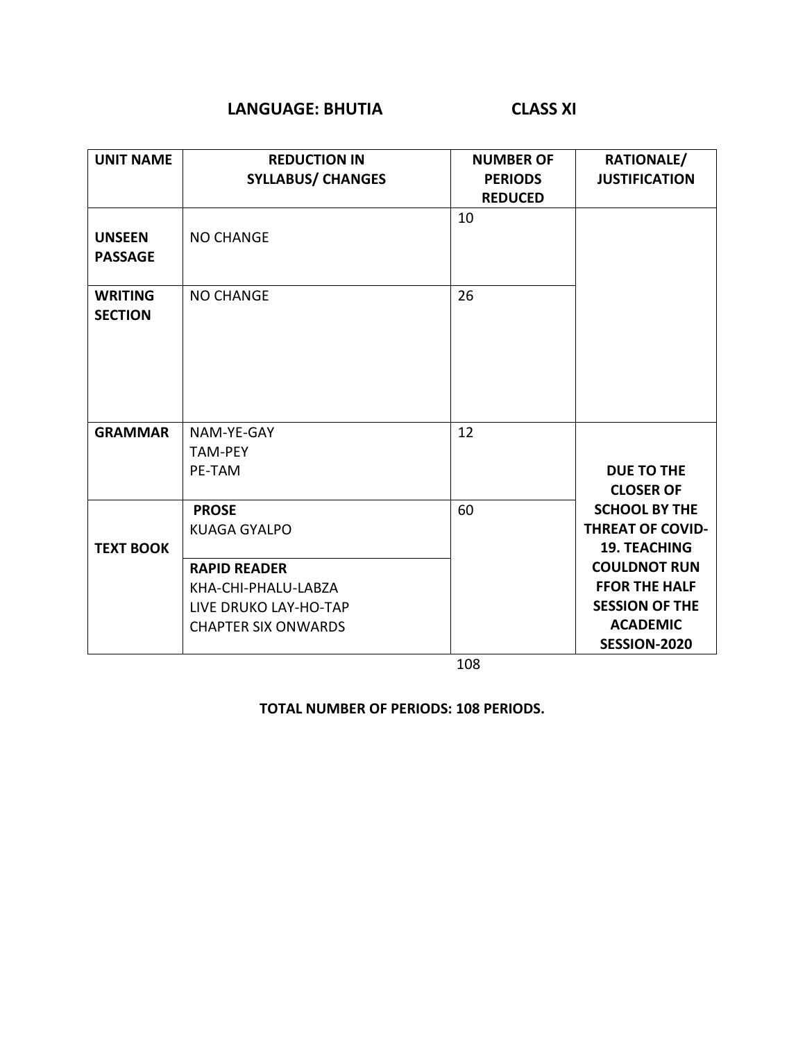### **LANGUAGE: BHUTIA CLASS XI**

| <b>UNIT NAME</b>                 | <b>REDUCTION IN</b><br><b>SYLLABUS/ CHANGES</b>                                                                                          | <b>NUMBER OF</b><br><b>PERIODS</b><br><b>REDUCED</b> | RATIONALE/<br><b>JUSTIFICATION</b>                                                                                                                                                |
|----------------------------------|------------------------------------------------------------------------------------------------------------------------------------------|------------------------------------------------------|-----------------------------------------------------------------------------------------------------------------------------------------------------------------------------------|
| <b>UNSEEN</b><br><b>PASSAGE</b>  | <b>NO CHANGE</b>                                                                                                                         | 10                                                   |                                                                                                                                                                                   |
| <b>WRITING</b><br><b>SECTION</b> | <b>NO CHANGE</b>                                                                                                                         | 26                                                   |                                                                                                                                                                                   |
| <b>GRAMMAR</b>                   | NAM-YE-GAY<br><b>TAM-PEY</b><br>PE-TAM                                                                                                   | 12                                                   | <b>DUE TO THE</b><br><b>CLOSER OF</b>                                                                                                                                             |
| <b>TEXT BOOK</b>                 | <b>PROSE</b><br><b>KUAGA GYALPO</b><br><b>RAPID READER</b><br>KHA-CHI-PHALU-LABZA<br>LIVE DRUKO LAY-HO-TAP<br><b>CHAPTER SIX ONWARDS</b> | 60<br>108                                            | <b>SCHOOL BY THE</b><br><b>THREAT OF COVID-</b><br><b>19. TEACHING</b><br><b>COULDNOT RUN</b><br><b>FFOR THE HALF</b><br><b>SESSION OF THE</b><br><b>ACADEMIC</b><br>SESSION-2020 |

**TOTAL NUMBER OF PERIODS: 108 PERIODS.**